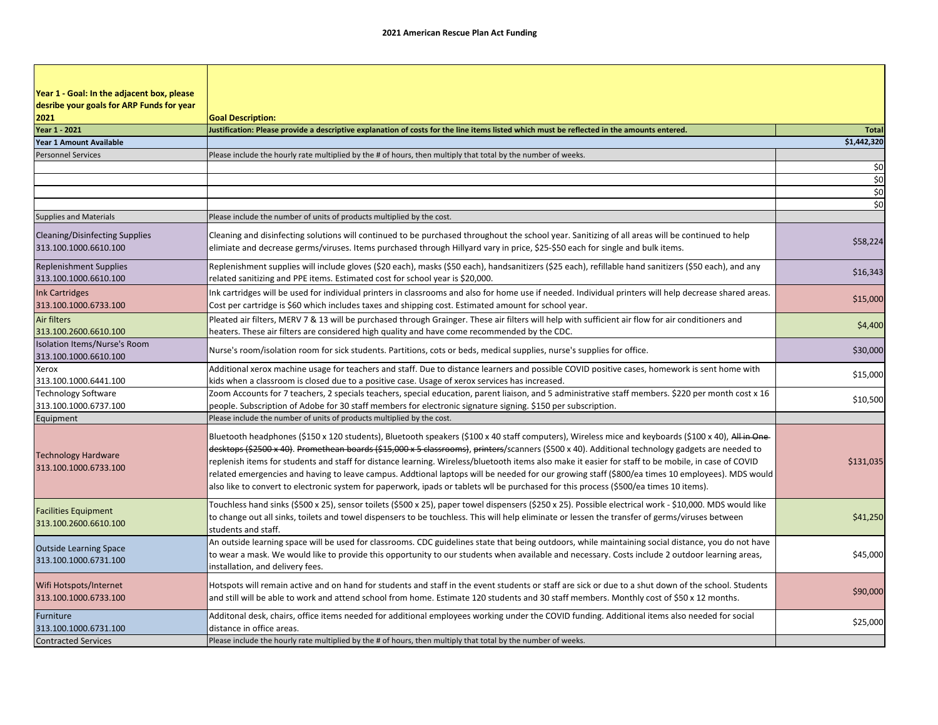| Year 1 - Goal: In the adjacent box, please                     |                                                                                                                                                                                                                                                                                                                                                                                                                                                                                                                                                                                                                                                                                                                                                             |              |
|----------------------------------------------------------------|-------------------------------------------------------------------------------------------------------------------------------------------------------------------------------------------------------------------------------------------------------------------------------------------------------------------------------------------------------------------------------------------------------------------------------------------------------------------------------------------------------------------------------------------------------------------------------------------------------------------------------------------------------------------------------------------------------------------------------------------------------------|--------------|
| desribe your goals for ARP Funds for year<br>2021              | <b>Goal Description:</b>                                                                                                                                                                                                                                                                                                                                                                                                                                                                                                                                                                                                                                                                                                                                    |              |
| Year 1 - 2021                                                  | Justification: Please provide a descriptive explanation of costs for the line items listed which must be reflected in the amounts entered.                                                                                                                                                                                                                                                                                                                                                                                                                                                                                                                                                                                                                  | <b>Total</b> |
| Year 1 Amount Available                                        |                                                                                                                                                                                                                                                                                                                                                                                                                                                                                                                                                                                                                                                                                                                                                             | \$1,442,320  |
| <b>Personnel Services</b>                                      | Please include the hourly rate multiplied by the # of hours, then multiply that total by the number of weeks.                                                                                                                                                                                                                                                                                                                                                                                                                                                                                                                                                                                                                                               |              |
|                                                                |                                                                                                                                                                                                                                                                                                                                                                                                                                                                                                                                                                                                                                                                                                                                                             | \$0          |
|                                                                |                                                                                                                                                                                                                                                                                                                                                                                                                                                                                                                                                                                                                                                                                                                                                             | \$0          |
|                                                                |                                                                                                                                                                                                                                                                                                                                                                                                                                                                                                                                                                                                                                                                                                                                                             | \$0          |
|                                                                |                                                                                                                                                                                                                                                                                                                                                                                                                                                                                                                                                                                                                                                                                                                                                             | \$0          |
| <b>Supplies and Materials</b>                                  | Please include the number of units of products multiplied by the cost.                                                                                                                                                                                                                                                                                                                                                                                                                                                                                                                                                                                                                                                                                      |              |
| <b>Cleaning/Disinfecting Supplies</b><br>313.100.1000.6610.100 | Cleaning and disinfecting solutions will continued to be purchased throughout the school year. Sanitizing of all areas will be continued to help<br>elimiate and decrease germs/viruses. Items purchased through Hillyard vary in price, \$25-\$50 each for single and bulk items.                                                                                                                                                                                                                                                                                                                                                                                                                                                                          | \$58,224     |
| <b>Replenishment Supplies</b><br>313.100.1000.6610.100         | Replenishment supplies will include gloves (\$20 each), masks (\$50 each), handsanitizers (\$25 each), refillable hand sanitizers (\$50 each), and any<br>related sanitizing and PPE items. Estimated cost for school year is \$20,000.                                                                                                                                                                                                                                                                                                                                                                                                                                                                                                                     | \$16,343     |
| <b>Ink Cartridges</b><br>313.100.1000.6733.100                 | Ink cartridges will be used for individual printers in classrooms and also for home use if needed. Individual printers will help decrease shared areas.<br>Cost per cartridge is \$60 which includes taxes and shipping cost. Estimated amount for school year.                                                                                                                                                                                                                                                                                                                                                                                                                                                                                             | \$15,000     |
| Air filters<br>313.100.2600.6610.100                           | Pleated air filters, MERV 7 & 13 will be purchased through Grainger. These air filters will help with sufficient air flow for air conditioners and<br>heaters. These air filters are considered high quality and have come recommended by the CDC.                                                                                                                                                                                                                                                                                                                                                                                                                                                                                                          | \$4,400      |
| Isolation Items/Nurse's Room<br>313.100.1000.6610.100          | Nurse's room/isolation room for sick students. Partitions, cots or beds, medical supplies, nurse's supplies for office.                                                                                                                                                                                                                                                                                                                                                                                                                                                                                                                                                                                                                                     | \$30,000     |
| Xerox                                                          | Additional xerox machine usage for teachers and staff. Due to distance learners and possible COVID positive cases, homework is sent home with                                                                                                                                                                                                                                                                                                                                                                                                                                                                                                                                                                                                               | \$15,000     |
| 313.100.1000.6441.100                                          | kids when a classroom is closed due to a positive case. Usage of xerox services has increased.                                                                                                                                                                                                                                                                                                                                                                                                                                                                                                                                                                                                                                                              |              |
| <b>Technology Software</b>                                     | Zoom Accounts for 7 teachers, 2 specials teachers, special education, parent liaison, and 5 administrative staff members. \$220 per month cost x 16                                                                                                                                                                                                                                                                                                                                                                                                                                                                                                                                                                                                         | \$10,500     |
| 313.100.1000.6737.100                                          | people. Subscription of Adobe for 30 staff members for electronic signature signing. \$150 per subscription.                                                                                                                                                                                                                                                                                                                                                                                                                                                                                                                                                                                                                                                |              |
| Equipment                                                      | Please include the number of units of products multiplied by the cost.                                                                                                                                                                                                                                                                                                                                                                                                                                                                                                                                                                                                                                                                                      |              |
| <b>Technology Hardware</b><br>313.100.1000.6733.100            | Bluetooth headphones (\$150 x 120 students), Bluetooth speakers (\$100 x 40 staff computers), Wireless mice and keyboards (\$100 x 40), All in One-<br>desktops (\$2500 x 40). Promethean boards (\$15,000 x 5 classrooms), printers/scanners (\$500 x 40). Additional technology gadgets are needed to<br>replenish items for students and staff for distance learning. Wireless/bluetooth items also make it easier for staff to be mobile, in case of COVID<br>related emergencies and having to leave campus. Addtional laptops will be needed for our growing staff (\$800/ea times 10 employees). MDS would<br>also like to convert to electronic system for paperwork, ipads or tablets wll be purchased for this process (\$500/ea times 10 items). | \$131,035    |
| <b>Facilities Equipment</b><br>313.100.2600.6610.100           | Touchless hand sinks (\$500 x 25), sensor toilets (\$500 x 25), paper towel dispensers (\$250 x 25). Possible electrical work - \$10,000. MDS would like<br>to change out all sinks, toilets and towel dispensers to be touchless. This will help eliminate or lessen the transfer of germs/viruses between<br>students and staff.                                                                                                                                                                                                                                                                                                                                                                                                                          | \$41,250     |
| <b>Outside Learning Space</b><br>313.100.1000.6731.100         | An outside learning space will be used for classrooms. CDC guidelines state that being outdoors, while maintaining social distance, you do not have<br>to wear a mask. We would like to provide this opportunity to our students when available and necessary. Costs include 2 outdoor learning areas,<br>installation, and delivery fees.                                                                                                                                                                                                                                                                                                                                                                                                                  | \$45,000     |
| Wifi Hotspots/Internet<br>313.100.1000.6733.100                | Hotspots will remain active and on hand for students and staff in the event students or staff are sick or due to a shut down of the school. Students<br>and still will be able to work and attend school from home. Estimate 120 students and 30 staff members. Monthly cost of \$50 x 12 months.                                                                                                                                                                                                                                                                                                                                                                                                                                                           | \$90,000     |
| Furniture<br>313.100.1000.6731.100                             | Additonal desk, chairs, office items needed for additional employees working under the COVID funding. Additional items also needed for social<br>distance in office areas.                                                                                                                                                                                                                                                                                                                                                                                                                                                                                                                                                                                  | \$25,000     |
| <b>Contracted Services</b>                                     | Please include the hourly rate multiplied by the # of hours, then multiply that total by the number of weeks.                                                                                                                                                                                                                                                                                                                                                                                                                                                                                                                                                                                                                                               |              |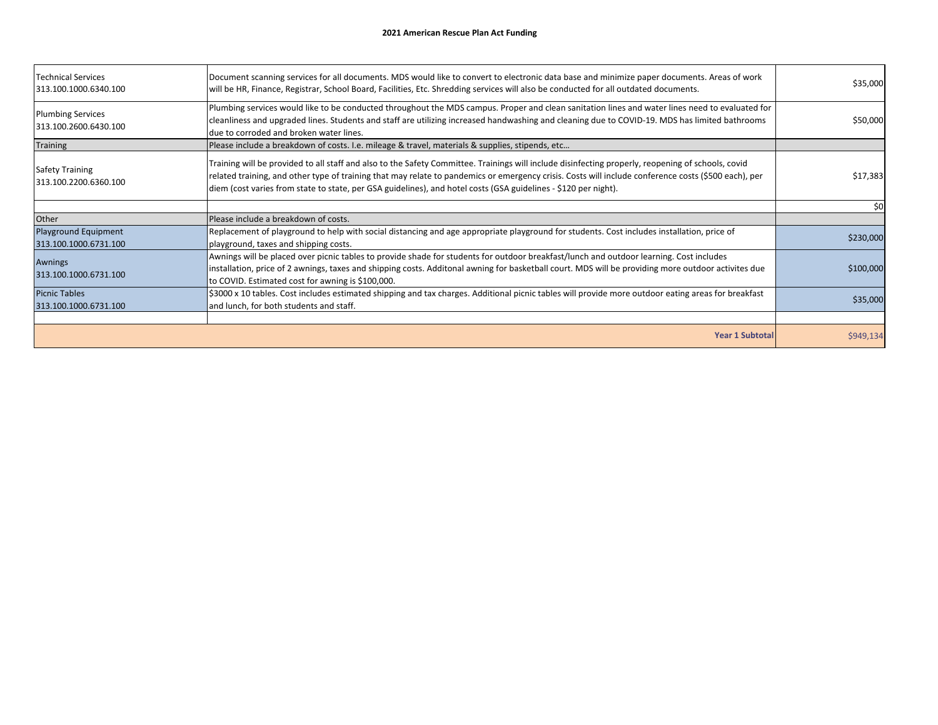| <b>Technical Services</b><br>313.100.1000.6340.100   | Document scanning services for all documents. MDS would like to convert to electronic data base and minimize paper documents. Areas of work<br>will be HR, Finance, Registrar, School Board, Facilities, Etc. Shredding services will also be conducted for all outdated documents.                                                                                                                                           | \$35,000  |
|------------------------------------------------------|-------------------------------------------------------------------------------------------------------------------------------------------------------------------------------------------------------------------------------------------------------------------------------------------------------------------------------------------------------------------------------------------------------------------------------|-----------|
| <b>Plumbing Services</b><br>313.100.2600.6430.100    | Plumbing services would like to be conducted throughout the MDS campus. Proper and clean sanitation lines and water lines need to evaluated for<br>cleanliness and upgraded lines. Students and staff are utilizing increased handwashing and cleaning due to COVID-19. MDS has limited bathrooms<br>due to corroded and broken water lines.                                                                                  | \$50,000  |
| <b>Training</b>                                      | Please include a breakdown of costs. I.e. mileage & travel, materials & supplies, stipends, etc                                                                                                                                                                                                                                                                                                                               |           |
| <b>Safety Training</b><br>313.100.2200.6360.100      | Training will be provided to all staff and also to the Safety Committee. Trainings will include disinfecting properly, reopening of schools, covid<br>related training, and other type of training that may relate to pandemics or emergency crisis. Costs will include conference costs (\$500 each), per<br>diem (cost varies from state to state, per GSA guidelines), and hotel costs (GSA guidelines - \$120 per night). | \$17,383  |
|                                                      |                                                                                                                                                                                                                                                                                                                                                                                                                               | \$0       |
| Other                                                | Please include a breakdown of costs.                                                                                                                                                                                                                                                                                                                                                                                          |           |
| <b>Playground Equipment</b><br>313.100.1000.6731.100 | Replacement of playground to help with social distancing and age appropriate playground for students. Cost includes installation, price of<br>playground, taxes and shipping costs.                                                                                                                                                                                                                                           | \$230,000 |
| Awnings<br>313.100.1000.6731.100                     | Awnings will be placed over picnic tables to provide shade for students for outdoor breakfast/lunch and outdoor learning. Cost includes<br>installation, price of 2 awnings, taxes and shipping costs. Additonal awning for basketball court. MDS will be providing more outdoor activites due<br>to COVID. Estimated cost for awning is \$100,000.                                                                           | \$100,000 |
| <b>Picnic Tables</b><br>313.100.1000.6731.100        | \$3000 x 10 tables. Cost includes estimated shipping and tax charges. Additional picnic tables will provide more outdoor eating areas for breakfast<br>and lunch, for both students and staff.                                                                                                                                                                                                                                | \$35,000  |
|                                                      |                                                                                                                                                                                                                                                                                                                                                                                                                               |           |
|                                                      | <b>Year 1 Subtotal</b>                                                                                                                                                                                                                                                                                                                                                                                                        | \$949,134 |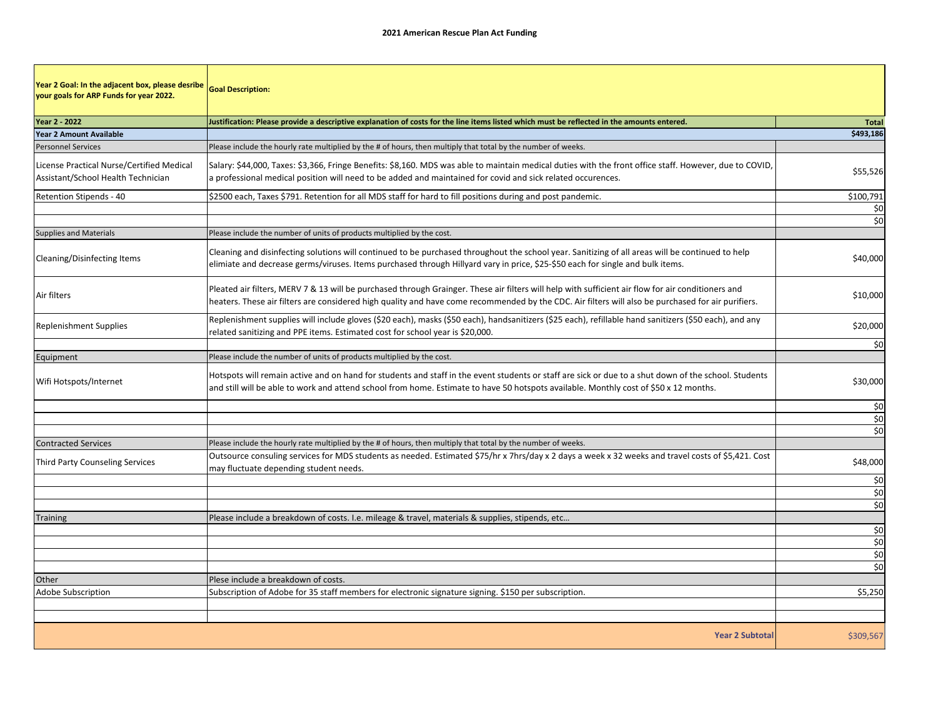| Year 2 Goal: In the adjacent box, please desribe<br>your goals for ARP Funds for year 2022. | <b>Goal Description:</b>                                                                                                                                                                                                                                                                                 |              |
|---------------------------------------------------------------------------------------------|----------------------------------------------------------------------------------------------------------------------------------------------------------------------------------------------------------------------------------------------------------------------------------------------------------|--------------|
| Year 2 - 2022                                                                               | Justification: Please provide a descriptive explanation of costs for the line items listed which must be reflected in the amounts entered.                                                                                                                                                               | <b>Total</b> |
| <b>Year 2 Amount Available</b>                                                              |                                                                                                                                                                                                                                                                                                          | \$493,186    |
| <b>Personnel Services</b>                                                                   | Please include the hourly rate multiplied by the # of hours, then multiply that total by the number of weeks.                                                                                                                                                                                            |              |
| License Practical Nurse/Certified Medical<br>Assistant/School Health Technician             | Salary: \$44,000, Taxes: \$3,366, Fringe Benefits: \$8,160. MDS was able to maintain medical duties with the front office staff. However, due to COVID,<br>a professional medical position will need to be added and maintained for covid and sick related occurences.                                   | \$55,526     |
| Retention Stipends - 40                                                                     | \$2500 each, Taxes \$791. Retention for all MDS staff for hard to fill positions during and post pandemic.                                                                                                                                                                                               | \$100,791    |
|                                                                                             |                                                                                                                                                                                                                                                                                                          | \$0          |
|                                                                                             |                                                                                                                                                                                                                                                                                                          | \$0          |
| <b>Supplies and Materials</b>                                                               | Please include the number of units of products multiplied by the cost.                                                                                                                                                                                                                                   |              |
| Cleaning/Disinfecting Items                                                                 | Cleaning and disinfecting solutions will continued to be purchased throughout the school year. Sanitizing of all areas will be continued to help<br>elimiate and decrease germs/viruses. Items purchased through Hillyard vary in price, \$25-\$50 each for single and bulk items.                       | \$40,000     |
| Air filters                                                                                 | Pleated air filters, MERV 7 & 13 will be purchased through Grainger. These air filters will help with sufficient air flow for air conditioners and<br>heaters. These air filters are considered high quality and have come recommended by the CDC. Air filters will also be purchased for air purifiers. | \$10,000     |
| <b>Replenishment Supplies</b>                                                               | Replenishment supplies will include gloves (\$20 each), masks (\$50 each), handsanitizers (\$25 each), refillable hand sanitizers (\$50 each), and any<br>related sanitizing and PPE items. Estimated cost for school year is \$20,000.                                                                  | \$20,000     |
|                                                                                             |                                                                                                                                                                                                                                                                                                          | \$0          |
| Equipment                                                                                   | Please include the number of units of products multiplied by the cost.                                                                                                                                                                                                                                   |              |
| Wifi Hotspots/Internet                                                                      | Hotspots will remain active and on hand for students and staff in the event students or staff are sick or due to a shut down of the school. Students<br>and still will be able to work and attend school from home. Estimate to have 50 hotspots available. Monthly cost of \$50 x 12 months.            | \$30,000     |
|                                                                                             |                                                                                                                                                                                                                                                                                                          | \$0          |
|                                                                                             |                                                                                                                                                                                                                                                                                                          | \$0          |
|                                                                                             |                                                                                                                                                                                                                                                                                                          | \$0          |
| <b>Contracted Services</b>                                                                  | Please include the hourly rate multiplied by the # of hours, then multiply that total by the number of weeks.                                                                                                                                                                                            |              |
| <b>Third Party Counseling Services</b>                                                      | Outsource consuling services for MDS students as needed. Estimated \$75/hr x 7hrs/day x 2 days a week x 32 weeks and travel costs of \$5,421. Cost<br>may fluctuate depending student needs.                                                                                                             | \$48,000     |
|                                                                                             |                                                                                                                                                                                                                                                                                                          | \$0          |
|                                                                                             |                                                                                                                                                                                                                                                                                                          | \$0          |
|                                                                                             |                                                                                                                                                                                                                                                                                                          | \$0          |
| <b>Training</b>                                                                             | Please include a breakdown of costs. I.e. mileage & travel, materials & supplies, stipends, etc                                                                                                                                                                                                          |              |
|                                                                                             |                                                                                                                                                                                                                                                                                                          | \$0          |
|                                                                                             |                                                                                                                                                                                                                                                                                                          | \$0<br>\$0   |
|                                                                                             |                                                                                                                                                                                                                                                                                                          | \$0          |
| Other                                                                                       | Plese include a breakdown of costs.                                                                                                                                                                                                                                                                      |              |
| Adobe Subscription                                                                          | Subscription of Adobe for 35 staff members for electronic signature signing. \$150 per subscription.                                                                                                                                                                                                     | \$5,250      |
|                                                                                             |                                                                                                                                                                                                                                                                                                          |              |
|                                                                                             |                                                                                                                                                                                                                                                                                                          |              |
|                                                                                             |                                                                                                                                                                                                                                                                                                          |              |
|                                                                                             | <b>Year 2 Subtotal</b>                                                                                                                                                                                                                                                                                   | \$309,567    |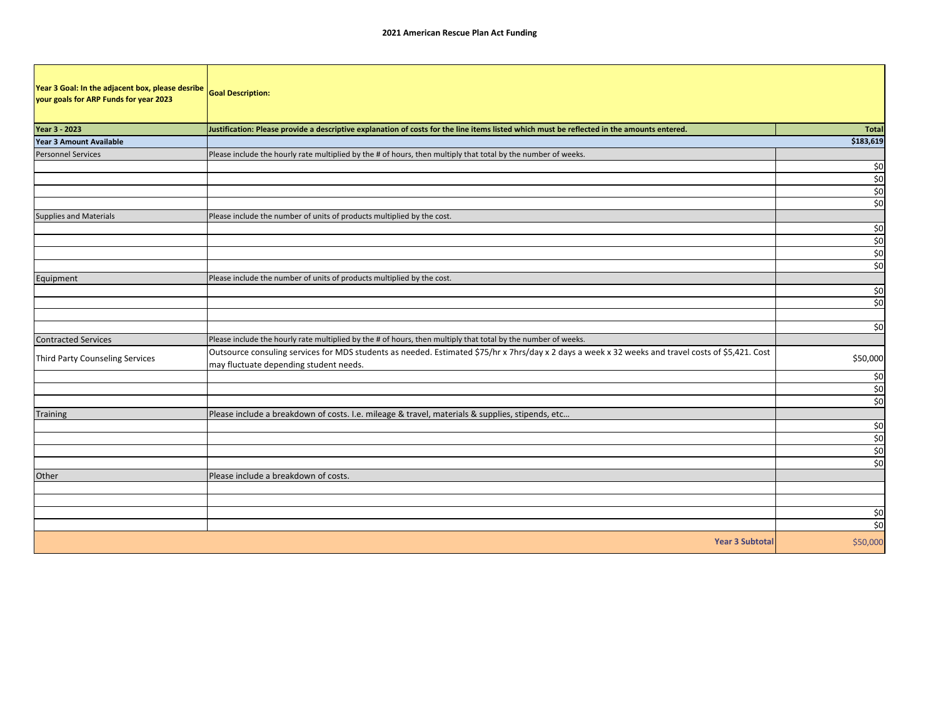| Year 3 Goal: In the adjacent box, please desribe<br>your goals for ARP Funds for year 2023 | <b>Goal Description:</b>                                                                                                                                                                     |                              |
|--------------------------------------------------------------------------------------------|----------------------------------------------------------------------------------------------------------------------------------------------------------------------------------------------|------------------------------|
| Year 3 - 2023                                                                              | Justification: Please provide a descriptive explanation of costs for the line items listed which must be reflected in the amounts entered.                                                   | Total                        |
| <b>Year 3 Amount Available</b>                                                             |                                                                                                                                                                                              | \$183,619                    |
| <b>Personnel Services</b>                                                                  | Please include the hourly rate multiplied by the # of hours, then multiply that total by the number of weeks.                                                                                |                              |
|                                                                                            |                                                                                                                                                                                              | \$0                          |
|                                                                                            |                                                                                                                                                                                              | \$0                          |
|                                                                                            |                                                                                                                                                                                              | \$0                          |
|                                                                                            |                                                                                                                                                                                              | \$0                          |
| <b>Supplies and Materials</b>                                                              | Please include the number of units of products multiplied by the cost.                                                                                                                       |                              |
|                                                                                            |                                                                                                                                                                                              | \$0                          |
|                                                                                            |                                                                                                                                                                                              | \$0                          |
|                                                                                            |                                                                                                                                                                                              | $$0$                         |
|                                                                                            |                                                                                                                                                                                              | $\overline{\phantom{0}}$ \$0 |
| Equipment                                                                                  | Please include the number of units of products multiplied by the cost.                                                                                                                       |                              |
|                                                                                            |                                                                                                                                                                                              | \$0                          |
|                                                                                            |                                                                                                                                                                                              | \$0                          |
|                                                                                            |                                                                                                                                                                                              |                              |
|                                                                                            |                                                                                                                                                                                              | \$0                          |
| <b>Contracted Services</b>                                                                 | Please include the hourly rate multiplied by the # of hours, then multiply that total by the number of weeks.                                                                                |                              |
| Third Party Counseling Services                                                            | Outsource consuling services for MDS students as needed. Estimated \$75/hr x 7hrs/day x 2 days a week x 32 weeks and travel costs of \$5,421. Cost<br>may fluctuate depending student needs. | \$50,000                     |
|                                                                                            |                                                                                                                                                                                              | \$0                          |
|                                                                                            |                                                                                                                                                                                              | \$0                          |
|                                                                                            |                                                                                                                                                                                              | \$0                          |
| <b>Training</b>                                                                            | Please include a breakdown of costs. I.e. mileage & travel, materials & supplies, stipends, etc                                                                                              |                              |
|                                                                                            |                                                                                                                                                                                              | \$0                          |
|                                                                                            |                                                                                                                                                                                              | \$0                          |
|                                                                                            |                                                                                                                                                                                              | \$0                          |
|                                                                                            |                                                                                                                                                                                              | $\overline{\phantom{0}}$ \$0 |
| Other                                                                                      | Please include a breakdown of costs.                                                                                                                                                         |                              |
|                                                                                            |                                                                                                                                                                                              |                              |
|                                                                                            |                                                                                                                                                                                              |                              |
|                                                                                            |                                                                                                                                                                                              |                              |
|                                                                                            |                                                                                                                                                                                              | $\frac{$0}{$0}$              |
|                                                                                            | <b>Year 3 Subtotal</b>                                                                                                                                                                       | \$50,000                     |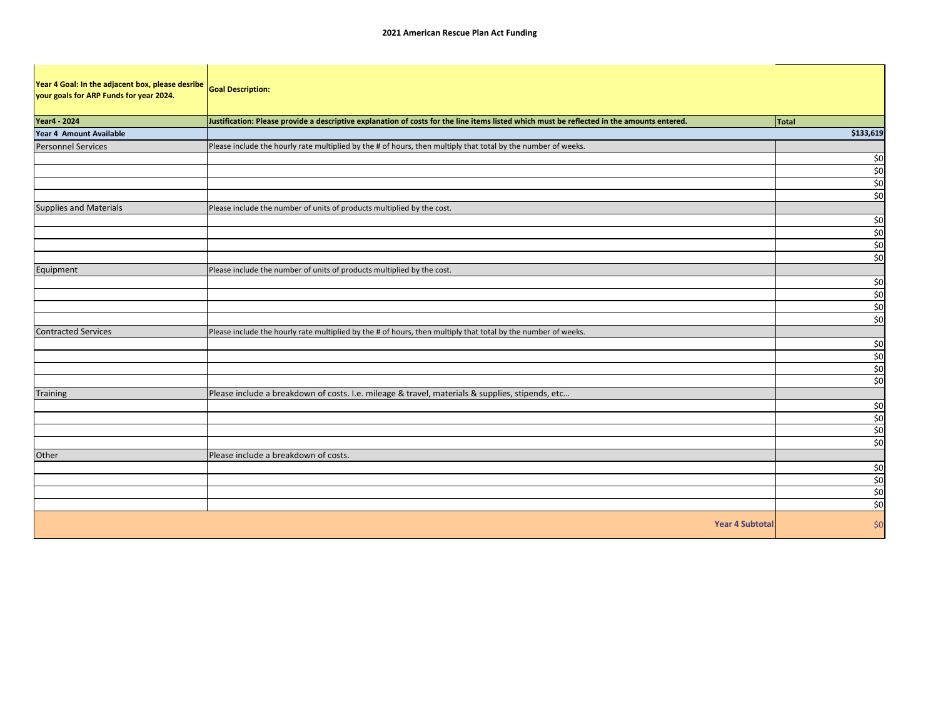| Year 4 Goal: In the adjacent box, please desribe<br>your goals for ARP Funds for year 2024. | <b>Goal Description:</b>                                                                                                                   |                                |
|---------------------------------------------------------------------------------------------|--------------------------------------------------------------------------------------------------------------------------------------------|--------------------------------|
| <b>Year4 - 2024</b>                                                                         | Justification: Please provide a descriptive explanation of costs for the line items listed which must be reflected in the amounts entered. | Total                          |
| Year 4 Amount Available                                                                     |                                                                                                                                            | \$133,619                      |
| <b>Personnel Services</b>                                                                   | Please include the hourly rate multiplied by the # of hours, then multiply that total by the number of weeks.                              |                                |
|                                                                                             |                                                                                                                                            | \$0                            |
|                                                                                             |                                                                                                                                            | \$0                            |
|                                                                                             |                                                                                                                                            | \$0                            |
|                                                                                             |                                                                                                                                            | \$0                            |
| <b>Supplies and Materials</b>                                                               | Please include the number of units of products multiplied by the cost.                                                                     |                                |
|                                                                                             |                                                                                                                                            | \$0                            |
|                                                                                             |                                                                                                                                            | \$0                            |
|                                                                                             |                                                                                                                                            | \$0                            |
|                                                                                             |                                                                                                                                            | \$0                            |
| Equipment                                                                                   | Please include the number of units of products multiplied by the cost.                                                                     |                                |
|                                                                                             |                                                                                                                                            | $\frac{$0}{$0}$                |
|                                                                                             |                                                                                                                                            |                                |
|                                                                                             |                                                                                                                                            | \$0                            |
|                                                                                             |                                                                                                                                            | $\overline{\phantom{0}}$ \$0   |
| <b>Contracted Services</b>                                                                  | Please include the hourly rate multiplied by the # of hours, then multiply that total by the number of weeks.                              |                                |
|                                                                                             |                                                                                                                                            | \$0                            |
|                                                                                             |                                                                                                                                            | \$0                            |
|                                                                                             |                                                                                                                                            | \$0                            |
|                                                                                             |                                                                                                                                            | \$0                            |
| <b>Training</b>                                                                             | Please include a breakdown of costs. I.e. mileage & travel, materials & supplies, stipends, etc                                            |                                |
|                                                                                             |                                                                                                                                            | \$0                            |
|                                                                                             |                                                                                                                                            | $\frac{50}{50}$                |
|                                                                                             |                                                                                                                                            |                                |
|                                                                                             |                                                                                                                                            |                                |
| Other                                                                                       | Please include a breakdown of costs.                                                                                                       |                                |
|                                                                                             |                                                                                                                                            |                                |
|                                                                                             |                                                                                                                                            | $rac{50}{50}$<br>$rac{50}{50}$ |
|                                                                                             |                                                                                                                                            |                                |
|                                                                                             |                                                                                                                                            |                                |
|                                                                                             | <b>Year 4 Subtotal</b>                                                                                                                     | \$0                            |